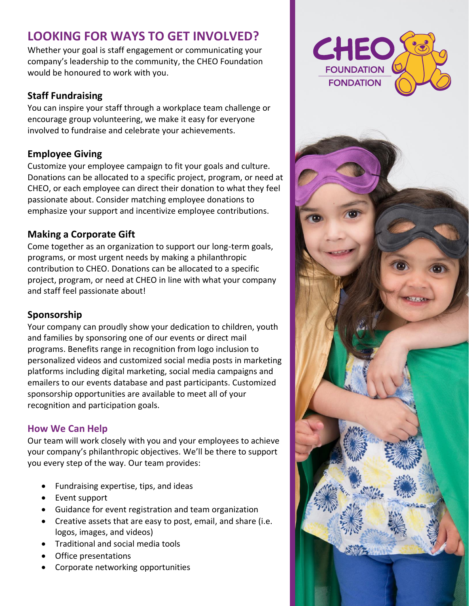# **LOOKING FOR WAYS TO GET INVOLVED?**

Whether your goal is staff engagement or communicating your company's leadership to the community, the CHEO Foundation would be honoured to work with you.

## **Staff Fundraising**

You can inspire your staff through a workplace team challenge or encourage group volunteering, we make it easy for everyone involved to fundraise and celebrate your achievements.

## **Employee Giving**

Customize your employee campaign to fit your goals and culture. Donations can be allocated to a specific project, program, or need at CHEO, or each employee can direct their donation to what they feel passionate about. Consider matching employee donations to emphasize your support and incentivize employee contributions.

## **Making a Corporate Gift**

Come together as an organization to support our long-term goals, programs, or most urgent needs by making a philanthropic contribution to CHEO. Donations can be allocated to a specific project, program, or need at CHEO in line with what your company and staff feel passionate about!

## **Sponsorship**

Your company can proudly show your dedication to children, youth and families by sponsoring one of our events or direct mail programs. Benefits range in recognition from logo inclusion to personalized videos and customized social media posts in marketing platforms including digital marketing, social media campaigns and emailers to our events database and past participants. Customized sponsorship opportunities are available to meet all of your recognition and participation goals.

## **How We Can Help**

Our team will work closely with you and your employees to achieve your company's philanthropic objectives. We'll be there to support you every step of the way. Our team provides:

- Fundraising expertise, tips, and ideas
- Event support
- Guidance for event registration and team organization
- Creative assets that are easy to post, email, and share (i.e. logos, images, and videos)
- Traditional and social media tools
- Office presentations
- Corporate networking opportunities

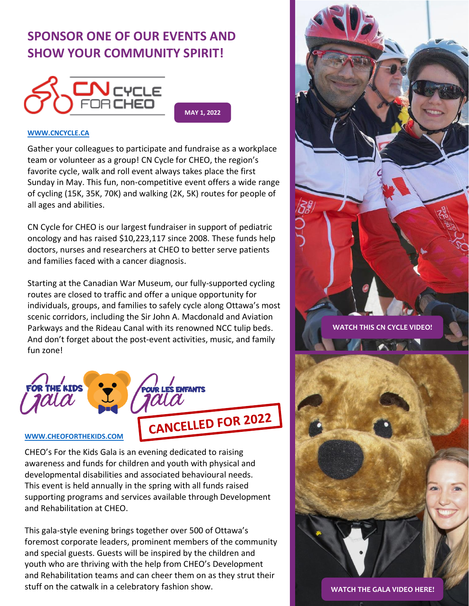# **SPONSOR ONE OF OUR EVENTS AND SHOW YOUR COMMUNITY SPIRIT!**



**MAY 1, 2022**

### **[WWW.CNCYCLE.CA](http://www.cncycle.ca/)**

Gather your colleagues to participate and fundraise as a workplace team or volunteer as a group! CN Cycle for CHEO, the region's favorite cycle, walk and roll event always takes place the first Sunday in May. This fun, non-competitive event offers a wide range of cycling (15K, 35K, 70K) and walking (2K, 5K) routes for people of all ages and abilities.

CN Cycle for CHEO is our largest fundraiser in support of pediatric oncology and has raised \$10,223,117 since 2008. These funds help doctors, nurses and researchers at CHEO to better serve patients and families faced with a cancer diagnosis.

Starting at the Canadian War Museum, our fully-supported cycling routes are closed to traffic and offer a unique opportunity for individuals, groups, and families to safely cycle along Ottawa's most scenic corridors, including the Sir John A. Macdonald and Aviation Parkways and the Rideau Canal with its renowned NCC tulip beds. And don't forget about the post-event activities, music, and family fun zone!



### **[WWW.CHEOFORTHEKIDS.COM](http://www.cheoforthekids.com/)**

CHEO's For the Kids Gala is an evening dedicated to raising awareness and funds for children and youth with physical and developmental disabilities and associated behavioural needs. This event is held annually in the spring with all funds raised supporting programs and services available through Development and Rehabilitation at CHEO.

This gala-style evening brings together over 500 of Ottawa's foremost corporate leaders, prominent members of the community and special guests. Guests will be inspired by the children and youth who are thriving with the help from CHEO's Development and Rehabilitation teams and can cheer them on as they strut their stuff on the catwalk in a celebratory fashion show.



**[WATCH THIS CN CYCLE VIDEO!](https://vimeo.com/645324365/4d5ecc00e9)**



**[WATCH THE GALA VIDEO HERE!](https://www.youtube.com/watch?v=E_8drnCJqCk)**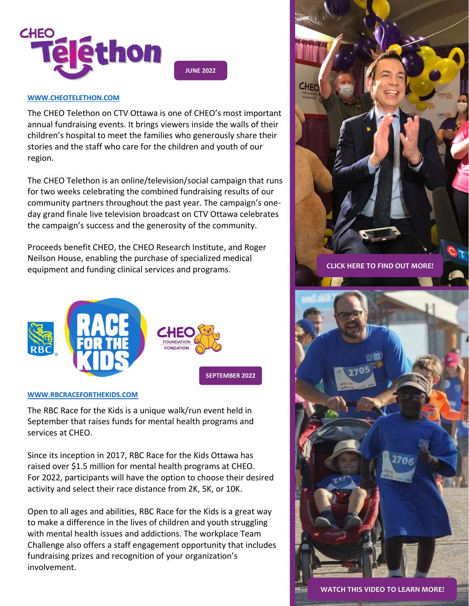

**JUNE 2022**

### **[WWW.CHEOTELETHON.COM](http://www.cheotelethon.com/)**

The CHEO Telethon on CTV Ottawa is one of CHEO's most important annual fundraising events. It brings viewers inside the walls of their children's hospital to meet the families who generously share their stories and the staff who care for the children and youth of our region.

The CHEO Telethon is an online/television/social campaign that runs for two weeks celebrating the combined fundraising results of our community partners throughout the past year. The campaign's oneday grand finale live television broadcast on CTV Ottawa celebrates the campaign's success and the generosity of the community.

Proceeds benefit CHEO, the CHEO Research Institute, and Roger Neilson House, enabling the purchase of specialized medical equipment and funding clinical services and programs.



#### **[WWW.RBCRACEFORTHEKIDS.COM](http://www.rbcraceforthekids.com/)**

The RBC Race for the Kids is a unique walk/run event held in September that raises funds for mental health programs and services at CHEO.

Since its inception in 2017, RBC Race for the Kids Ottawa has raised over \$1.5 million for mental health programs at CHEO. For 2022, participants will have the option to choose their desired activity and select their race distance from 2K, 5K, or 10K.

Open to all ages and abilities, RBC Race for the Kids is a great way to make a difference in the lives of children and youth struggling with mental health issues and addictions. The workplace Team Challenge also offers a staff engagement opportunity that includes fundraising prizes and recognition of your organization's involvement.